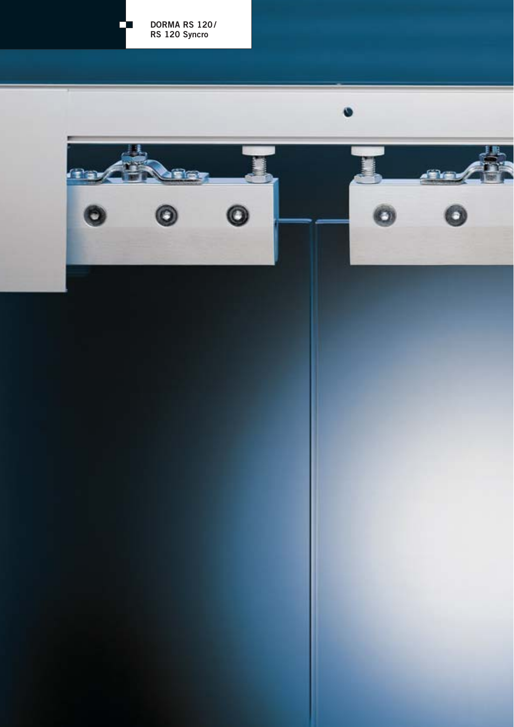

œ





Ö.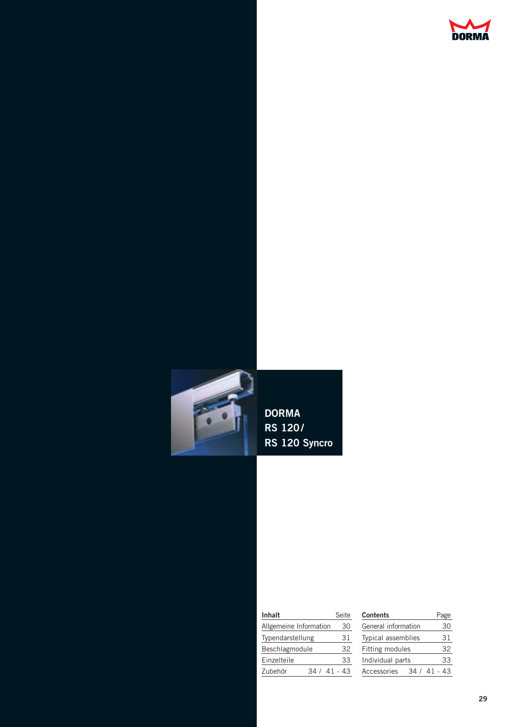



**DORMA RS 120/ RS 120 Syncro**

| Inhalt                 |  |                | Seite |
|------------------------|--|----------------|-------|
| Allgemeine Information |  |                | 30    |
| Typendarstellung       |  |                | 31    |
| Beschlagmodule         |  |                | 32    |
| Einzelteile            |  |                | 33    |
| Zubehör                |  | $34 / 41 - 43$ |       |

| <b>Contents</b>           | Page     |
|---------------------------|----------|
| General information       | 30       |
| <b>Typical assemblies</b> | 31       |
| Fitting modules           | 32       |
| Individual parts          | 33       |
| Accessories<br>34 /       | -41 - 43 |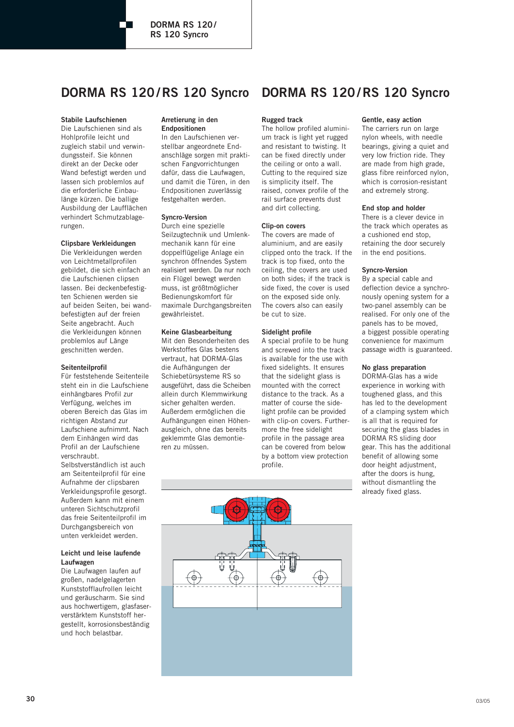# **DORMA RS 120/RS 120 Syncro**

# **Stabile Laufschienen**

Die Laufschienen sind als Hohlprofile leicht und zugleich stabil und verwindungssteif. Sie können direkt an der Decke oder Wand befestigt werden und lassen sich problemlos auf die erforderliche Einbau länge kürzen. Die ballige Ausbildung der Laufflächen verhindert Schmutzablagerungen.

### **Clipsbare Verkleidungen**

Die Verkleidungen werden von Leichtmetallprofilen gebildet, die sich einfach an die Laufschienen clipsen lassen. Bei deckenbefestigten Schienen werden sie auf beiden Seiten, bei wandbefestigten auf der freien Seite angebracht. Auch die Verkleidungen können problemlos auf Länge geschnitten werden.

#### **Seitenteilprofil**

Für feststehende Seitenteile steht ein in die Laufschiene einhängbares Profil zur Verfügung, welches im oberen Bereich das Glas im richtigen Abstand zur Laufschiene aufnimmt. Nach dem Einhängen wird das Profil an der Laufschiene verschraubt.

Selbstverständlich ist auch am Seitenteilprofil für eine Aufnahme der clipsbaren Verkleidungsprofile gesorgt. Außerdem kann mit einem unteren Sichtschutzprofil das freie Seitenteilprofil im Durchgangsbereich von unten verkleidet werden.

## **Leicht und leise laufende Laufwagen**

Die Laufwagen laufen auf großen, nadelgelagerten Kunststofflaufrollen leicht und geräuscharm. Sie sind aus hochwertigem, glasfaserverstärktem Kunststoff hergestellt, korrosionsbeständig und hoch belastbar.

### **Arretierung in den Endpositionen**

In den Laufschienen verstellbar angeordnete Endanschläge sorgen mit praktischen Fangvorrichtungen dafür, dass die Laufwagen, und damit die Türen, in den Endpositionen zuverlässig festgehalten werden.

## **Syncro-Version**

Durch eine spezielle Seilzugtechnik und Umlenkmechanik kann für eine doppelflügelige Anlage ein synchron öffnendes System realisiert werden. Da nur noch ein Flügel bewegt werden muss, ist größtmöglicher Bedienungskomfort für maximale Durchgangsbreiten gewährleistet.

## **Keine Glasbearbeitung**

Mit den Besonderheiten des Werkstoffes Glas bestens vertraut, hat DORMA-Glas die Aufhängungen der Schiebetürsysteme RS so ausgeführt, dass die Scheiben allein durch Klemmwirkung sicher gehalten werden. Außerdem ermöglichen die Aufhängungen einen Höhen ausgleich, ohne das bereits geklemmte Glas demontieren zu müssen.

### **Rugged track**

The hollow profiled aluminium track is light yet rugged and resistant to twisting. It can be fixed directly under the ceiling or onto a wall. Cutting to the required size is simplicity itself. The raised, convex profile of the rail surface prevents dust and dirt collecting.

### **Clip-on covers**

The covers are made of aluminium, and are easily clipped onto the track. If the track is top fixed, onto the ceiling, the covers are used on both sides; if the track is side fixed, the cover is used on the exposed side only. The covers also can easily be cut to size.

### **Sidelight profile**

A special profile to be hung and screwed into the track is available for the use with fixed sidelights. It ensures that the sidelight glass is mounted with the correct distance to the track. As a matter of course the sidelight profile can be provided with clip-on covers. Furthermore the free sidelight profile in the passage area can be covered from below by a bottom view protection profile.

### **Gentle, easy action**

**DORMA RS 120/RS 120 Syncro**

The carriers run on large nylon wheels, with needle bearings, giving a quiet and very low friction ride. They are made from high grade, glass fibre reinforced nylon, which is corrosion-resistant and extremely strong.

### **End stop and holder**

There is a clever device in the track which operates as a cushioned end stop, retaining the door securely in the end positions.

### **Syncro-Version**

By a special cable and deflection device a synchronously opening system for a two-panel assembly can be realised. For only one of the panels has to be moved, a biggest possible operating convenience for maximum passage width is guaranteed.

### **No glass preparation**

DORMA-Glas has a wide experience in working with toughened glass, and this has led to the development of a clamping system which is all that is required for securing the glass blades in DORMA RS sliding door gear. This has the additional benefit of allowing some door height adjustment, after the doors is hung, without dismantling the already fixed glass.

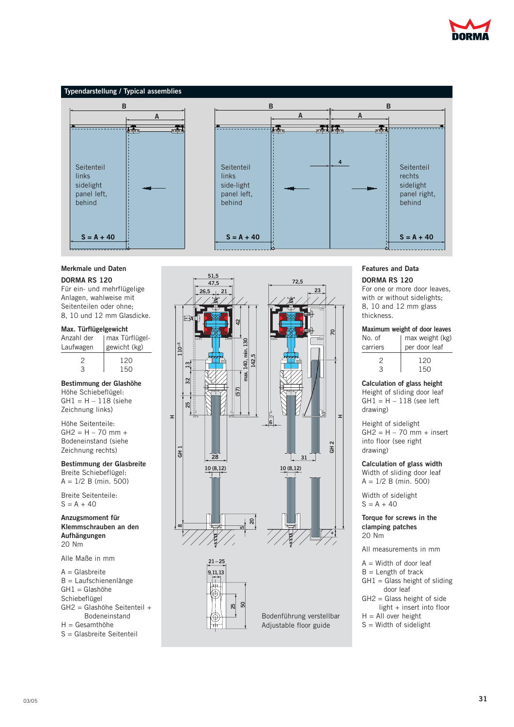



# **Merkmale und Daten**

# **DORMA RS 120**

Für ein- und mehrflügelige Anlagen, wahlweise mit Seitenteilen oder ohne; 8, 10 und 12 mm Glasdicke.

### **Max. Türflügelgewicht**

| Anzahl der | max Türflügel- |
|------------|----------------|
| Laufwagen  | gewicht (kg)   |
| 2          | 120            |
|            | 150            |

**Bestimmung der Glashöhe** Höhe Schiebeflügel:  $GH1 = H - 118$  (siehe Zeichnung links)

Höhe Seitenteile:  $GH2 = H - 70$  mm + Bodeneinstand (siehe Zeichnung rechts)

**Bestimmung der Glasbreite** Breite Schiebeflügel:

 $A = 1/2$  B (min. 500) Breite Seitenteile:

 $S = A + 40$ 

**Anzugsmoment für Klemmschrauben an den Aufhängungen** 20 Nm

Alle Maße in mm

 $A = G$ lasbreite B = Laufschienenlänge GH1 = Glashöhe Schiebeflügel GH2 = Glashöhe Seitenteil + Bodeneinstand H = Gesamthöhe S = Glasbreite Seitenteil



**25 50**

> Bodenführung verstellbar Adjustable floor guide

**Features and Data DORMA RS 120**

For one or more door leaves, with or without sidelights; 8, 10 and 12 mm glass thickness.

### **Maximum weight of door leaves**

| No. of   | max weight (kg) |  |
|----------|-----------------|--|
| carriers | per door leaf   |  |
| 2        | 120             |  |
| 3        | 150             |  |

**Calculation of glass height**

Height of sliding door leaf  $GH1 = H - 118$  (see left drawing)

Height of sidelight  $GH2 = H - 70$  mm + insert into floor (see right drawing)

### **Calculation of glass width**

Width of sliding door leaf  $A = 1/2$  B (min. 500)

Width of sidelight  $S = A + 40$ 

**Torque for screws in the clamping patches**  20 Nm

All measurements in mm

- A = Width of door leaf
- $B =$  Length of track
- $GH1 =$  Glass height of sliding door leaf

GH2 = Glass height of side light + insert into floor

 $H = All over height$ 

 $S =$  Width of sidelight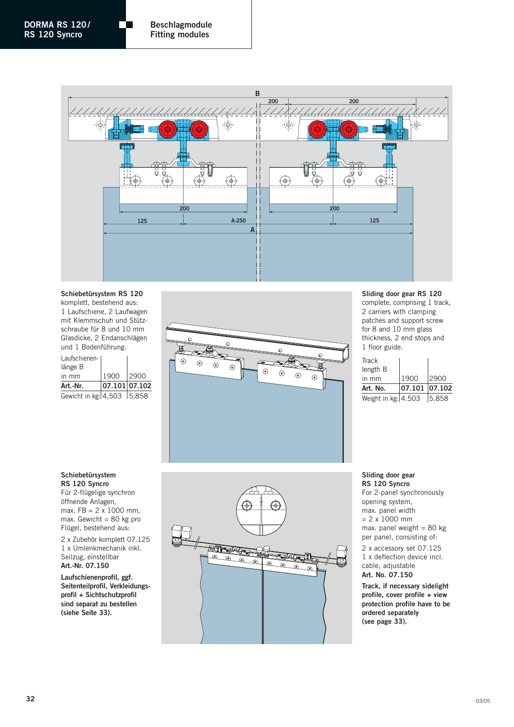

**Schiebetürsystem RS 120**

komplett, bestehend aus: 1 Laufschiene, 2 Laufwagen mit Klemmschuh und Stützschraube für 8 und 10 mm Glasdicke, 2 Endanschlägen und 1 Bodenführung.

| Art.-Nr.<br>سنا مثالما منتنبه المتحدث |      | 07.101 07.102 |
|---------------------------------------|------|---------------|
| $In$ $mm$                             | 1900 | 2900          |
| Laufschienen-<br>länge B              |      |               |

Gewicht in kg:  $4,503$  5,858

# $\odot$  $\odot$  $\odot$  $\odot$  $\odot$  $\odot$  $\odot$  $\odot$

**Sliding door gear RS 120**

complete, comprising 1 track, 2 carriers with clamping patches and support screw for 8 and 10 mm glass thickness, 2 end stops and 1 floor guide.

| Track               |               |        |
|---------------------|---------------|--------|
| length B            |               |        |
| in mm               | 1900          | 12900  |
| Art. No.            | 07.101 07.102 |        |
| Weight in kg: 4.503 |               | 15.858 |

# **Schiebetürsystem**

**RS 120 Syncro** Für 2-flügelige synchron öffnende Anlagen, max.  $FB = 2 \times 1000$  mm, max. Gewicht =  $80$  kg pro Flügel, bestehend aus:

2 x Zubehör komplett 07.125 1 x Umlenkmechanik inkl. Seilzug, einstellbar **Art.-Nr. 07.150**

**Laufschienenprofil, ggf. Seitenteilprofil, Verkleidungs profil + Sichtschutzprofil sind separat zu bestellen (siehe Seite 33).**



**Sliding door gear**

**RS 120 Syncro** For 2-panel synchronously opening system, max. panel width  $= 2 \times 1000$  mm max. panel weight  $= 80$  kg per panel, consisting of:

2 x accessory set 07.125 1 x deflection device incl. cable, adjustable **Art. No. 07.150**

**Track, if necessary sidelight profile, cover profile + view protection profile have to be ordered separately (see page 33).**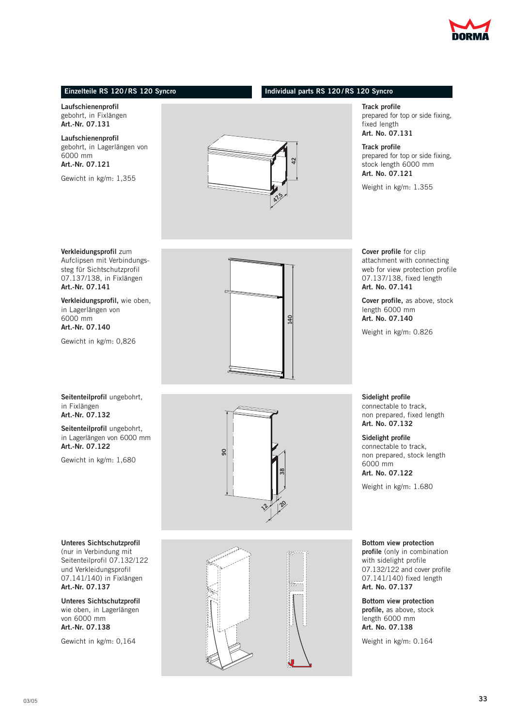

# **Einzelteile RS 120 / RS 120 Syncro Individual parts RS 120 / RS 120 Syncro**

**Laufschienenprofil** gebohrt, in Fixlängen **Art.-Nr. 07.131**

**Laufschienenprofil** gebohrt, in Lagerlängen von 6000 mm **Art.-Nr. 07.121**

Gewicht in kg/m: 1,355



**Track profile** prepared for top or side fixing, fixed length **Art. No. 07.131**

**Track profile** prepared for top or side fixing, stock length 6000 mm **Art. No. 07.121**

Weight in kg/m: 1.355

**Verkleidungsprofil** zum Aufclipsen mit Verbindungssteg für Sichtschutzprofil 07.137/138, in Fixlängen **Art.-Nr. 07.141**

**Verkleidungsprofil,** wie oben, in Lagerlängen von 6000 mm **Art.-Nr. 07.140**

Gewicht in kg/m: 0,826



**Cover profile** for clip attachment with connecting web for view protection profile 07.137/138, fixed length **Art. No. 07.141**

**Cover profile,** as above, stock length 6000 mm **Art. No. 07.140**

Weight in kg/m: 0.826

### **Seitenteilprofil** ungebohrt, in Fixlängen **Art.-Nr. 07.132**

**Seitenteilprofil** ungebohrt, in Lagerlängen von 6000 mm **Art.-Nr. 07.122**

Gewicht in kg/m: 1,680



### **Unteres Sichtschutzprofil**

(nur in Verbindung mit Seitenteilprofil 07.132/122 und Verkleidungsprofil 07.141/140) in Fixlängen **Art.-Nr. 07.137**

**Unteres Sichtschutzprofil** wie oben, in Lagerlängen von 6000 mm **Art.-Nr. 07.138**

Gewicht in kg/m: 0,164



**Sidelight profile**

connectable to track, non prepared, fixed length **Art. No. 07.132**

**Sidelight profile** connectable to track,

non prepared, stock length 6000 mm **Art. No. 07.122**

Weight in kg/m: 1.680

### **Bottom view protection**

**profile** (only in combination with sidelight profile 07.132/122 and cover profile 07.141/140) fixed length **Art. No. 07.137**

**Bottom view protection** 

**profile,** as above, stock length 6000 mm **Art. No. 07.138**

Weight in kg/m: 0.164

03/05 **33**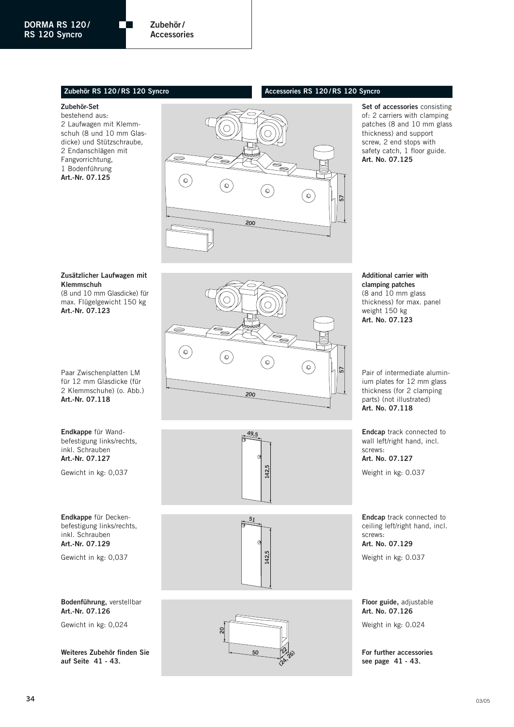# **Zubehör RS 120 / RS 120 Syncro Accessories RS 120 / RS 120 Syncro**

**Zubehör-Set** bestehend aus: 2 Laufwagen mit Klemmschuh (8 und 10 mm Glasdicke) und Stützschraube, 2 Endanschlägen mit Fangvorrichtung, 1 Bodenführung **Art.-Nr. 07.125**



**Set of accessories** consisting of: 2 carriers with clamping patches (8 and 10 mm glass thickness) and support screw, 2 end stops with safety catch, 1 floor guide. **Art. No. 07.125**

### **Zusätzlicher Laufwagen mit Klemmschuh**

(8 und 10 mm Glasdicke) für max. Flügelgewicht 150 kg **Art.-Nr. 07.123**



**Endkappe** für Wandbefestigung links/rechts, inkl. Schrauben **Art.-Nr. 07.127**

Gewicht in kg: 0,037

**Endkappe** für Decken befestigung links/rechts, inkl. Schrauben **Art.-Nr. 07.129**

Gewicht in kg: 0,037

**Bodenführung,** verstellbar **Art.-Nr. 07.126**

Gewicht in kg: 0,024

**Weiteres Zubehör finden Sie auf Seite 41 - 43.**









**Additional carrier with clamping patches** (8 and 10 mm glass thickness) for max. panel

weight 150 kg **Art. No. 07.123**

Pair of intermediate aluminium plates for 12 mm glass thickness (for 2 clamping parts) (not illustrated) **Art. No. 07.118**

**Endcap** track connected to wall left/right hand, incl. screws: **Art. No. 07.127**

Weight in kg: 0.037

**Endcap** track connected to ceiling left/right hand, incl. screws: **Art. No. 07.129**

Weight in kg: 0.037

**Floor guide,** adjustable **Art. No. 07.126** Weight in kg: 0.024

**For further accessories see page 41 - 43.**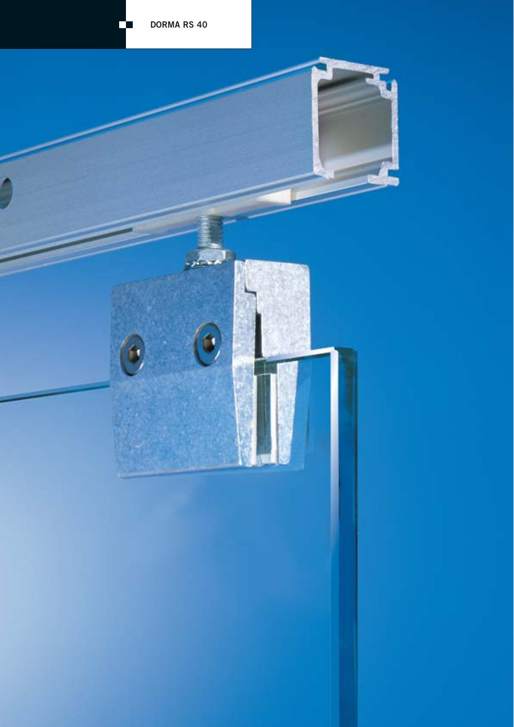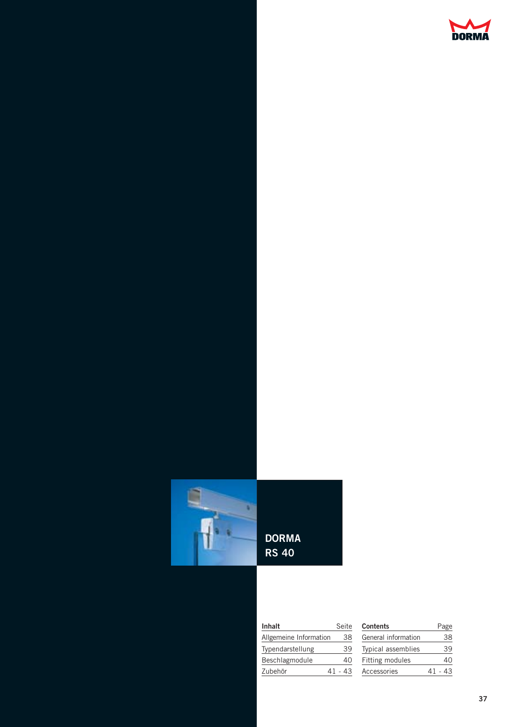



| Inhalt                 | Seite     |
|------------------------|-----------|
| Allgemeine Information | 38        |
| Typendarstellung       | 39        |
| Beschlagmodule         | 40        |
| Zubehör                | $41 - 43$ |

| <b>Contents</b>     | Page    |
|---------------------|---------|
| General information | 38      |
| Typical assemblies  | 39      |
| Fitting modules     | 40      |
| Accessories         | 41 - 43 |

**37**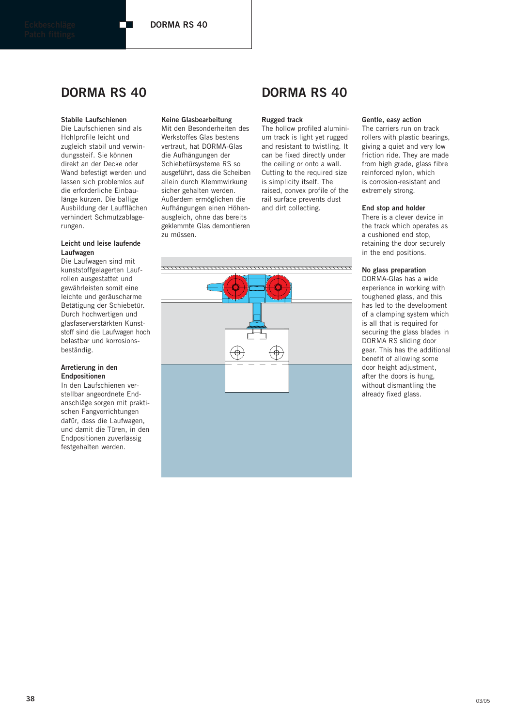**DORMA RS 40**

# **DORMA RS 40**

# **Stabile Laufschienen**

Die Laufschienen sind als Hohlprofile leicht und zugleich stabil und verwindungssteif. Sie können direkt an der Decke oder Wand befestigt werden und lassen sich problemlos auf die erforderliche Einbaulänge kürzen. Die ballige Ausbildung der Laufflächen verhindert Schmutzablagerungen.

### **Leicht und leise laufende Laufwagen**

Die Laufwagen sind mit kunststoffgelagerten Lauf rollen ausgestattet und gewährleisten somit eine leichte und geräuscharme Betätigung der Schiebetür. Durch hochwertigen und glasfaserverstärkten Kunststoff sind die Laufwagen hoch belastbar und korrosionsbeständig.

### **Arretierung in den Endpositionen**

In den Laufschienen verstellbar angeordnete Endanschläge sorgen mit praktischen Fangvorrichtungen dafür, dass die Laufwagen, und damit die Türen, in den Endpositionen zuverlässig festgehalten werden.

# **Keine Glasbearbeitung**

Mit den Besonderheiten des Werkstoffes Glas bestens vertraut, hat DORMA-Glas die Aufhängungen der Schiebetürsysteme RS so ausgeführt, dass die Scheiben allein durch Klemmwirkung sicher gehalten werden. Außerdem ermöglichen die Aufhängungen einen Höhen ausgleich, ohne das bereits geklemmte Glas demontieren zu müssen.

# **DORMA RS 40**

# **Rugged track**

The hollow profiled aluminium track is light yet rugged and resistant to twistling. It can be fixed directly under the ceiling or onto a wall. Cutting to the required size is simplicity itself. The raised, convex profile of the rail surface prevents dust and dirt collecting.



# **Gentle, easy action**

The carriers run on track rollers with plastic bearings, giving a quiet and very low friction ride. They are made from high grade, glass fibre reinforced nylon, which is corrosion-resistant and extremely strong.

### **End stop and holder**

There is a clever device in the track which operates as a cushioned end stop, retaining the door securely in the end positions.

### **No glass preparation**

DORMA-Glas has a wide experience in working with toughened glass, and this has led to the development of a clamping system which is all that is required for securing the glass blades in DORMA RS sliding door gear. This has the additional benefit of allowing some door height adjustment, after the doors is hung, without dismantling the already fixed glass.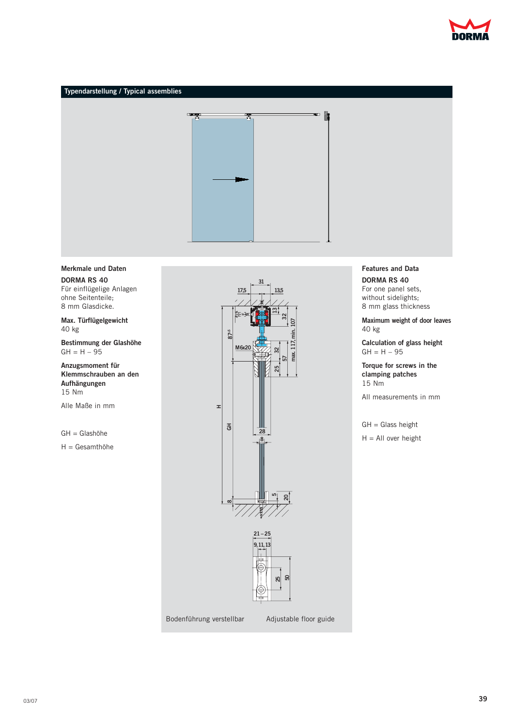

# **Typendarstellung / Typical assemblies**



# **Merkmale und Daten**

**DORMA RS 40** Für einflügelige Anlagen ohne Seitenteile; 8 mm Glasdicke.

**Max. Türflügelgewicht** 40 kg

**Bestimmung der Glashöhe**  $GH = H - 95$ 

**Anzugsmoment für Klemmschrauben an den Aufhängungen** 15 Nm

Alle Maße in mm

GH = Glashöhe

H = Gesamthöhe



Bodenführung verstellbar Adjustable floor guide

**Features and Data DORMA RS 40** For one panel sets, without sidelights;

8 mm glass thickness

**Maximum weight of door leaves** 40 kg

**Calculation of glass height**  $GH = H - 95$ 

**Torque for screws in the clamping patches**  15 Nm

All measurements in mm

 $GH = Glass$  height

 $H = All over height$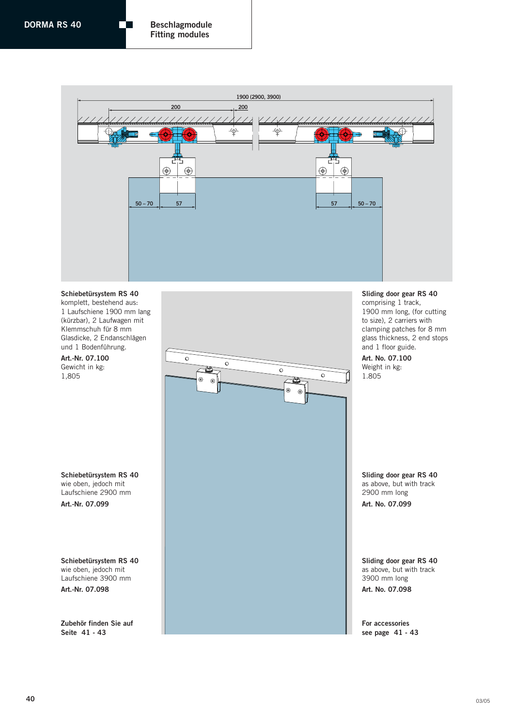

**Schiebetürsystem RS 40** komplett, bestehend aus:

1 Laufschiene 1900 mm lang (kürzbar), 2 Laufwagen mit Klemmschuh für 8 mm Glasdicke, 2 Endanschlägen und 1 Bodenführung.

**Art.-Nr. 07.100** Gewicht in kg: 1,805

**Schiebetürsystem RS 40** wie oben, jedoch mit Laufschiene 2900 mm **Art.-Nr. 07.099**

**Schiebetürsystem RS 40** wie oben, jedoch mit Laufschiene 3900 mm **Art.-Nr. 07.098**

**Zubehör finden Sie auf Seite 41 - 43**



**Sliding door gear RS 40**

comprising 1 track, 1900 mm long, (for cutting to size), 2 carriers with clamping patches for 8 mm glass thickness, 2 end stops and 1 floor guide.

**Art. No. 07.100** Weight in kg: 1.805

**Sliding door gear RS 40** as above, but with track 2900 mm long **Art. No. 07.099**

**Sliding door gear RS 40** as above, but with track 3900 mm long **Art. No. 07.098**

**For accessories see page 41 - 43**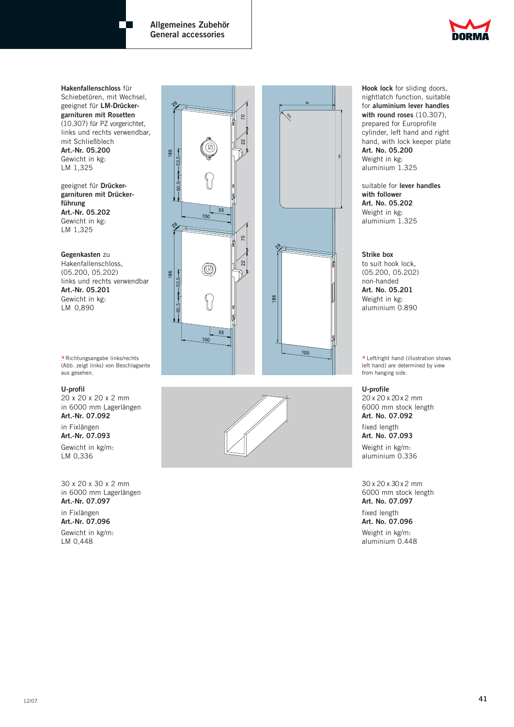

**Hakenfallenschloss** für Schiebetüren, mit Wechsel, geeignet für **LM-Drücker garnituren mit Rosetten** (10.307) für PZ vorgerichtet, links und rechts verwendbar, mit Schließblech **Art.-Nr. 05.200** Gewicht in kg: LM 1,325

geeignet für **Drückergarni tu ren mit Drücker führung Art.-Nr. 05.202** Gewicht in kg: LM 1,325

## **Gegenkasten** zu

Hakenfallenschloss, (05.200, 05.202) links und rechts verwendbar **Art.-Nr. 05.201** Gewicht in kg: LM 0,890

**\***Richtungsangabe links/rechts (Abb. zeigt links) von Beschlagseite aus gesehen.

### **U-profil**

20 x 20 x 20 x 2 mm in 6000 mm Lagerlängen **Art.-Nr. 07.092**

in Fixlängen **Art.-Nr. 07.093**

Gewicht in kg/m: LM 0,336

30 x 20 x 30 x 2 mm in 6000 mm Lagerlängen **Art.-Nr. 07.097**

in Fixlängen **Art.-Nr. 07.096** Gewicht in kg/m:

LM 0,448





**Hook lock** for sliding doors, nightlatch function, suitable for **aluminium lever handles with round roses** (10.307), prepared for Europrofile cylinder, left hand and right hand, with lock keeper plate **Art. No. 05.200** Weight in kg: aluminium 1.325

suitable for **lever handles with follower Art. No. 05.202** Weight in kg: aluminium 1.325

### **Strike box**

to suit hook lock, (05.200, 05.202) non-handed **Art. No. 05.201** Weight in kg: aluminium 0.890

**\*** Left/right hand (illustration shows left hand) are determined by view from hanging side.

### **U-profile**

20 x 20 x 20 x 2 mm 6000 mm stock length **Art. No. 07.092**

fixed length **Art. No. 07.093**

Weight in kg/m: aluminium 0.336

30 x 20 x 30 x 2 mm 6000 mm stock length **Art. No. 07.097**

fixed length **Art. No. 07.096**

Weight in kg/m: aluminium 0.448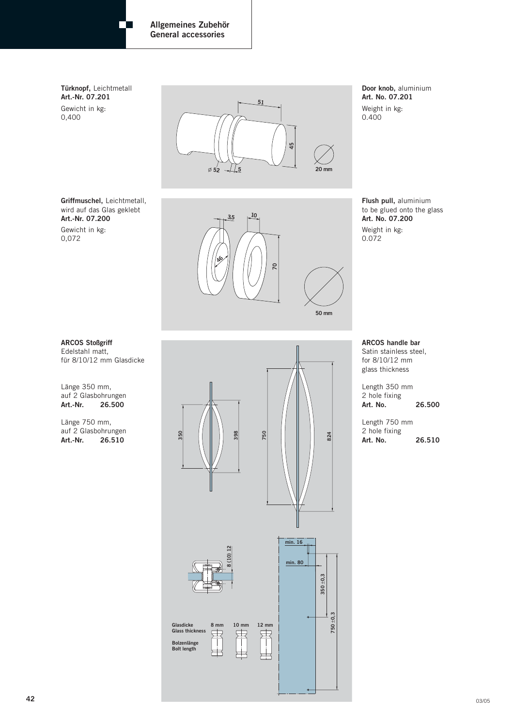**Türknopf,** Leichtmetall **Art.-Nr. 07.201** Gewicht in kg: 0,400

T



**3,5 <sup>10</sup>**

**70**

**46**

**Door knob,** aluminium **Art. No. 07.201** Weight in kg: 0.400

**Flush pull,** aluminium to be glued onto the glass **Art. No. 07.200** Weight in kg: 0.072

**Griffmuschel,** Leichtmetall, wird auf das Glas geklebt **Art.-Nr. 07.200** Gewicht in kg: 0,072



Edelstahl matt, für 8/10/12 mm Glasdicke

Länge 350 mm, auf 2 Glasbohrungen<br>Art.-Nr. 26.500 **Art.-Nr. 26.500**

Länge 750 mm, auf 2 Glasbohrungen<br>Art.-Nr. 26.510 **Art.-Nr. 26.510**



**ARCOS handle bar**

**50 mm**

Satin stainless steel, for 8/10/12 mm glass thickness

Length 350 mm 2 hole fixing **Art. No. 26.500**

Length 750 mm 2 hole fixing **Art. No. 26.510**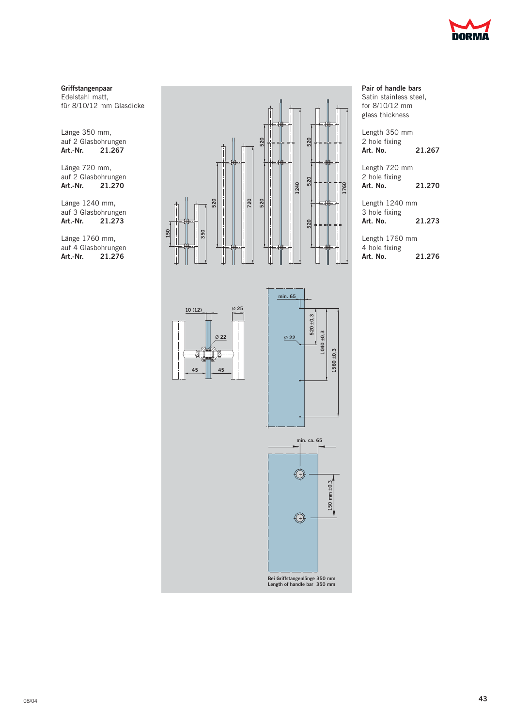

# **Griffstangenpaar**

Edelstahl matt, für 8/10/12 mm Glasdicke

Länge 350 mm, auf 2 Glasbohrungen<br>Art.-Nr. 21.267 **Art.-Nr.** 

Länge 720 mm, auf 2 Glasbohrungen<br>Art.-Nr. 21.270 **Art.-Nr. 21.270**

Länge 1240 mm, auf 3 Glasbohrungen<br>Art.-Nr. 21.273 **Art.-Nr. 21.273**

Länge 1760 mm, auf 4 Glasbohrungen<br>Art.-Nr. 21.276 **Art.-Nr. 21.276**







# **Pair of handle bars**

Satin stainless steel, for 8/10/12 mm glass thickness

Length 350 mm 2 hole fixing **Art. No. 21.267**

Length 720 mm 2 hole fixing **Art. No. 21.270**

Length 1240 mm 3 hole fixing<br>Art. No. **Art. No. 21.273**

Length 1760 mm 4 hole fixing **Art. No. 21.276**